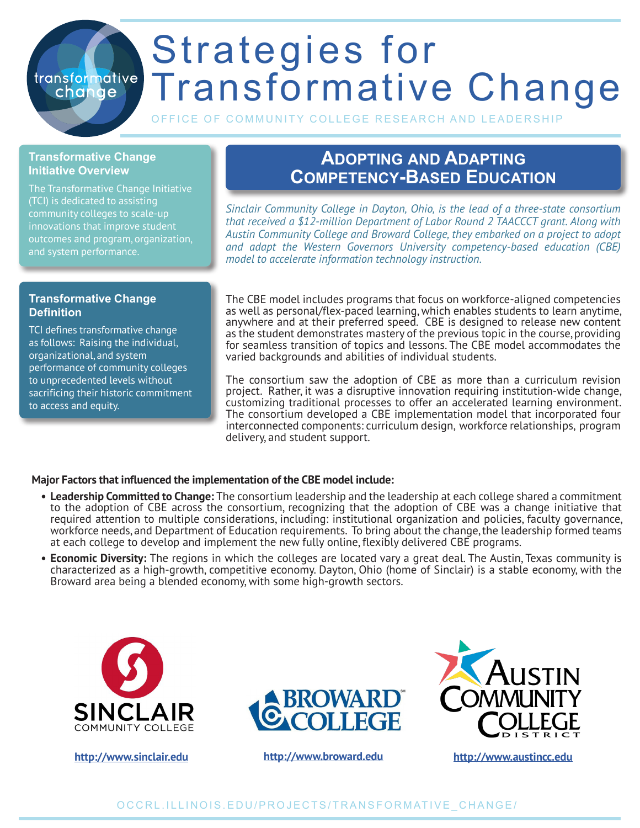# Strategies for transformative Transformative Change

OFFICE OF COMMUNITY COLLEGE RESEARCH AND LEADERSH

#### **Transformative Change Initiative Overview**

change

The Transformative Change Initiative (TCI) is dedicated to assisting community colleges to scale-up innovations that improve student outcomes and program, organization, and system performance.

# **Adopting and Adapting Competency-Based Education**

*Sinclair Community College in Dayton, Ohio, is the lead of a three-state consortium that received a \$12-million Department of Labor Round 2 TAACCCT grant. Along with Austin Community College and Broward College, they embarked on a project to adopt and adapt the Western Governors University competency-based education (CBE) model to accelerate information technology instruction.* 

### **Transformative Change Definition**

TCI defines transformative change as follows: Raising the individual, organizational, and system performance of community colleges to unprecedented levels without sacrificing their historic commitment to access and equity.

The CBE model includes programs that focus on workforce-aligned competencies as well as personal/flex-paced learning, which enables students to learn anytime, anywhere and at their preferred speed. CBE is designed to release new content as the student demonstrates mastery of the previous topic in the course, providing for seamless transition of topics and lessons. The CBE model accommodates the varied backgrounds and abilities of individual students.

The consortium saw the adoption of CBE as more than a curriculum revision project. Rather, it was a disruptive innovation requiring institution-wide change, customizing traditional processes to offer an accelerated learning environment. The consortium developed a CBE implementation model that incorporated four interconnected components: curriculum design, workforce relationships, program delivery, and student support.

## **Major Factors that influenced the implementation of the CBE model include:**

- **• Leadership Committed to Change:** The consortium leadership and the leadership at each college shared a commitment to the adoption of CBE across the consortium, recognizing that the adoption of CBE was a change initiative that required attention to multiple considerations, including: institutional organization and policies, faculty governance, workforce needs, and Department of Education requirements. To bring about the change, the leadership formed teams at each college to develop and implement the new fully online, flexibly delivered CBE programs.
- **• Economic Diversity:** The regions in which the colleges are located vary a great deal. The Austin, Texas community is characterized as a high-growth, competitive economy. Dayton, Ohio (home of Sinclair) is a stable economy, with the Broward area being a blended economy, with some high-growth sectors.



**<http://www.sinclair.edu> <http://www.broward.edu> <http://www.austincc.edu>**